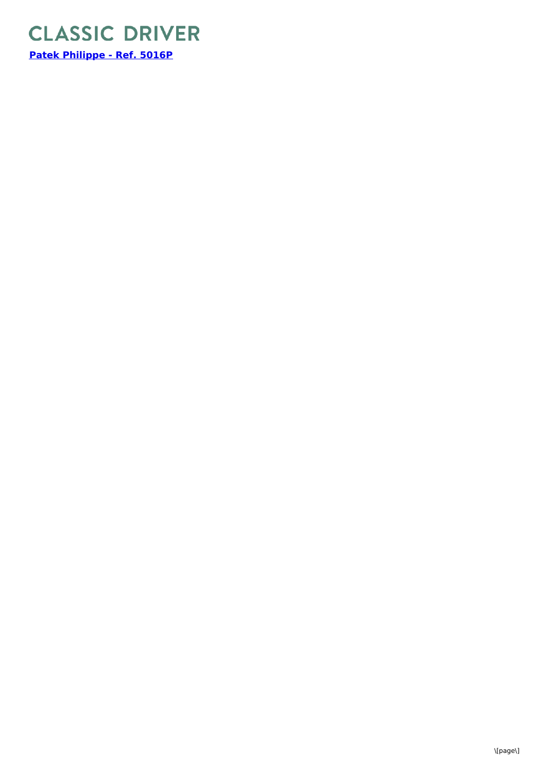

**Patek [Philippe](https://www.classicdriver.com/en/watch/patek-philippe/284333) - Ref. 5016P**